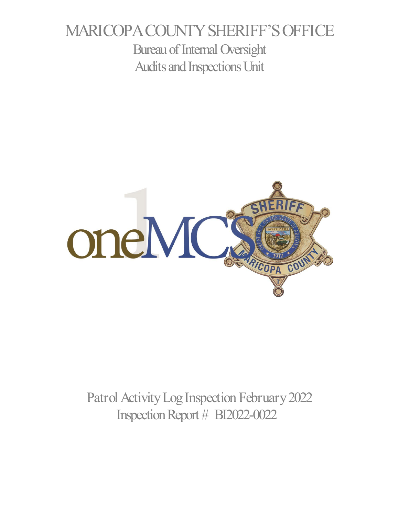# MARICOPA COUNTY SHERIFF'S OFFICE Bureau of Internal Oversight Audits and Inspections Unit



Patrol Activity Log Inspection February 2022 Inspection Report # BI2022-0022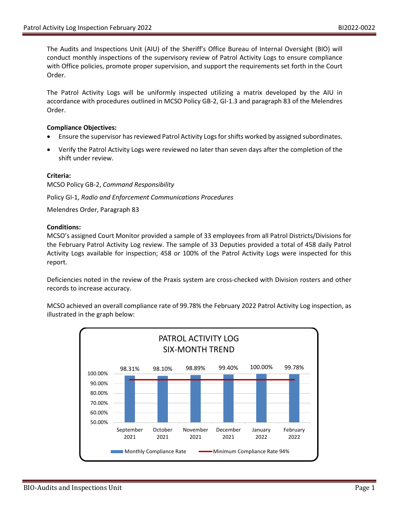The Audits and Inspections Unit (AIU) of the Sheriff's Office Bureau of Internal Oversight (BIO) will conduct monthly inspections of the supervisory review of Patrol Activity Logs to ensure compliance with Office policies, promote proper supervision, and support the requirements set forth in the Court Order.

The Patrol Activity Logs will be uniformly inspected utilizing a matrix developed by the AIU in accordance with procedures outlined in MCSO Policy GB-2, GI-1.3 and paragraph 83 of the Melendres Order.

#### **Compliance Objectives:**

- Ensure the supervisor has reviewed Patrol Activity Logs for shifts worked by assigned subordinates.
- Verify the Patrol Activity Logs were reviewed no later than seven days after the completion of the shift under review.

#### **Criteria:**

MCSO Policy GB-2, *Command Responsibility*

Policy GI-1, *Radio and Enforcement Communications Procedures*

Melendres Order, Paragraph 83

#### **Conditions:**

MCSO's assigned Court Monitor provided a sample of 33 employees from all Patrol Districts/Divisions for the February Patrol Activity Log review. The sample of 33 Deputies provided a total of 458 daily Patrol Activity Logs available for inspection; 458 or 100% of the Patrol Activity Logs were inspected for this report.

Deficiencies noted in the review of the Praxis system are cross-checked with Division rosters and other records to increase accuracy.

MCSO achieved an overall compliance rate of 99.78% the February 2022 Patrol Activity Log inspection, as illustrated in the graph below:

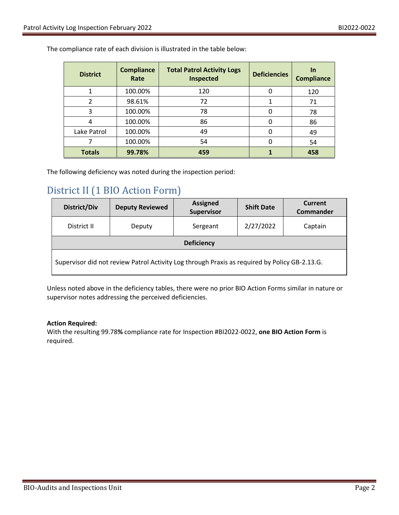The compliance rate of each division is illustrated in the table below:

| <b>District</b> | <b>Compliance</b><br>Rate | <b>Total Patrol Activity Logs</b><br><b>Inspected</b> | <b>Deficiencies</b> | In<br><b>Compliance</b> |
|-----------------|---------------------------|-------------------------------------------------------|---------------------|-------------------------|
|                 | 100.00%                   | 120                                                   | 0                   | 120                     |
| 2               | 98.61%                    | 72                                                    |                     | 71                      |
| 3               | 100.00%                   | 78                                                    |                     | 78                      |
|                 | 100.00%                   | 86                                                    |                     | 86                      |
| Lake Patrol     | 100.00%                   | 49                                                    |                     | 49                      |
|                 | 100.00%                   | 54                                                    |                     | 54                      |
| <b>Totals</b>   | 99.78%                    | 459                                                   |                     | 458                     |

The following deficiency was noted during the inspection period:

## District II (1 BIO Action Form)

| <b>District/Div</b>                                                                           | <b>Deputy Reviewed</b> | <b>Assigned</b><br>Supervisor | <b>Shift Date</b> | Current<br>Commander |  |  |  |
|-----------------------------------------------------------------------------------------------|------------------------|-------------------------------|-------------------|----------------------|--|--|--|
| District II                                                                                   | Deputy                 | Sergeant                      | 2/27/2022         | Captain              |  |  |  |
| <b>Deficiency</b>                                                                             |                        |                               |                   |                      |  |  |  |
| Supervisor did not review Patrol Activity Log through Praxis as required by Policy GB-2.13.G. |                        |                               |                   |                      |  |  |  |

Unless noted above in the deficiency tables, there were no prior BIO Action Forms similar in nature or supervisor notes addressing the perceived deficiencies.

### **Action Required:**

With the resulting 99.78**%** compliance rate for Inspection #BI2022-0022, **one BIO Action Form** is required.